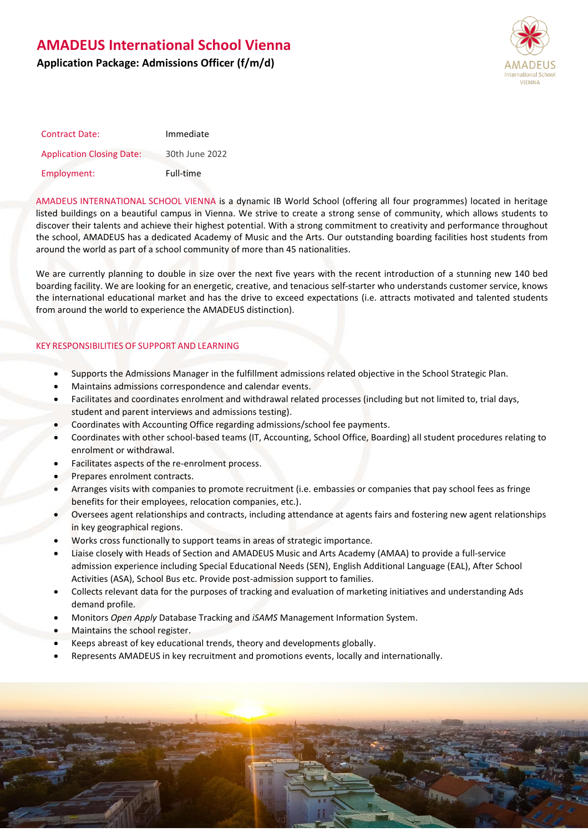# **AMADEUS International School Vienna**

### **Application Package: Admissions Officer (f/m/d)**



| <b>Contract Date:</b>            | Immediate      |
|----------------------------------|----------------|
| <b>Application Closing Date:</b> | 30th June 2022 |
| Employment:                      | Full-time      |

AMADEUS INTERNATIONAL SCHOOL VIENNA is a dynamic IB World School (offering all four programmes) located in heritage listed buildings on a beautiful campus in Vienna. We strive to create a strong sense of community, which allows students to discover their talents and achieve their highest potential. With a strong commitment to creativity and performance throughout the school, AMADEUS has a dedicated Academy of Music and the Arts. Our outstanding boarding facilities host students from around the world as part of a school community of more than 45 nationalities.

We are currently planning to double in size over the next five years with the recent introduction of a stunning new 140 bed boarding facility. We are looking for an energetic, creative, and tenacious self-starter who understands customer service, knows the international educational market and has the drive to exceed expectations (i.e. attracts motivated and talented students from around the world to experience the AMADEUS distinction).

### KEY RESPONSIBILITIES OF SUPPORT AND LEARNING

- Supports the Admissions Manager in the fulfillment admissions related objective in the School Strategic Plan.
- Maintains admissions correspondence and calendar events.
- Facilitates and coordinates enrolment and withdrawal related processes (including but not limited to, trial days, student and parent interviews and admissions testing).
- Coordinates with Accounting Office regarding admissions/school fee payments.
- Coordinates with other school-based teams (IT, Accounting, School Office, Boarding) all student procedures relating to enrolment or withdrawal.
- Facilitates aspects of the re-enrolment process.
- Prepares enrolment contracts.
- Arranges visits with companies to promote recruitment (i.e. embassies or companies that pay school fees as fringe benefits for their employees, relocation companies, etc.).
- Oversees agent relationships and contracts, including attendance at agents fairs and fostering new agent relationships in key geographical regions.
- Works cross functionally to support teams in areas of strategic importance.
- Liaise closely with Heads of Section and AMADEUS Music and Arts Academy (AMAA) to provide a full-service admission experience including Special Educational Needs (SEN), English Additional Language (EAL), After School Activities (ASA), School Bus etc. Provide post-admission support to families.
- Collects relevant data for the purposes of tracking and evaluation of marketing initiatives and understanding Ads demand profile.
- Monitors *Open Apply* Database Tracking and *iSAMS* Management Information System.
- Maintains the school register.
- Keeps abreast of key educational trends, theory and developments globally.
- Represents AMADEUS in key recruitment and promotions events, locally and internationally.